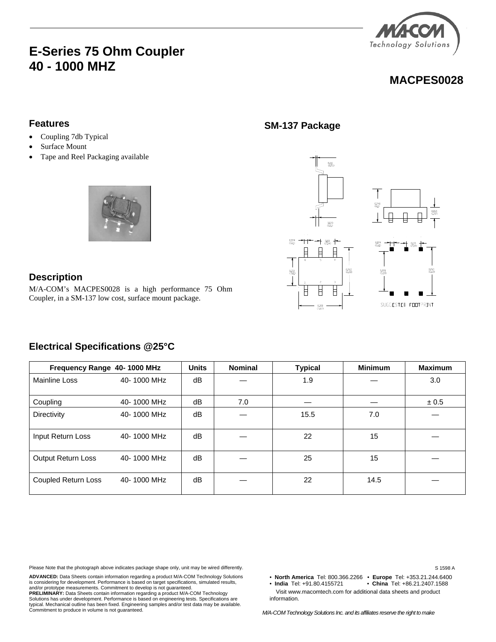## **E-Series 75 Ohm Coupler 40 - 1000 MHZ**



### **MACPES0028**

#### **Features**

- Coupling 7db Typical
- Surface Mount
- Tape and Reel Packaging available



### **Description**

M/A-COM's MACPES0028 is a high performance 75 Ohm Coupler, in a SM-137 low cost, surface mount package.

**Electrical Specifications @25°C** 

# **Frequency Range 40-1000 MHz** | Units | Nominal | Typical | Minimum | Maximum Mainline Loss 40- 1000 MHz | dB | — | 1.9 | — | 3.0 Coupling 40- 1000 MHz dB 7.0 –  $+$   $+$  0.5 Directivity  $40-1000 \text{ MHz}$  dB  $-$  15.5  $1000 \text{ MHz}$  17.0 Input Return Loss  $40-1000$  MHz  $\begin{array}{|c|c|c|c|c|c|c|c|} \hline \end{array}$   $\begin{array}{|c|c|c|c|c|c|} \hline \end{array}$   $\begin{array}{|c|c|c|c|c|c|} \hline \end{array}$   $\begin{array}{|c|c|c|c|c|} \hline \end{array}$   $\begin{array}{|c|c|c|c|c|} \hline \end{array}$   $\begin{array}{|c|c|c|c|c|} \hline \end{array}$   $\begin{array}{|c|c|$ Output Return Loss  $40-1000$  MHz  $\begin{array}{|c|c|c|c|c|c|c|c|} \hline \end{array}$   $\begin{array}{|c|c|c|c|c|c|c|c|c|} \hline \end{array}$   $\begin{array}{|c|c|c|c|c|c|} \hline \end{array}$   $\begin{array}{|c|c|c|c|c|c|} \hline \end{array}$   $\begin{array}{|c|c|c|c|c|} \hline \end{array}$   $\begin{array}{|c|c|c|c|c|} \hline \end{array}$   $\$ Coupled Return Loss 40- 1000 MHz dB — 22 14.5 —

Please Note that the photograph above indicates package shape only, unit may be wired differently.

**ADVANCED:** Data Sheets contain information regarding a product M/A-COM Technology Solutions is considering for development. Performance is based on target specifications, simulated results, and/or prototype measurements. Commitment to develop is not guaranteed. **PRELIMINARY:** Data Sheets contain information regarding a product M/A-COM Technology Solutions has under development. Performance is based on engineering tests. Specifications are typical. Mechanical outline has been fixed. Engineering samples and/or test data may be available. Commitment to produce in volume is not guaranteed.

**SM-137 Package** 



S 1598 A

• **North America** Tel: 800.366.2266 • **Europe** Tel: +353.21.244.6400 • China Tel: +86.21.2407.1588

 Visit www.macomtech.com for additional data sheets and product information.

*M/A-COM Technology Solutions Inc. and its affiliates reserve the right to make*